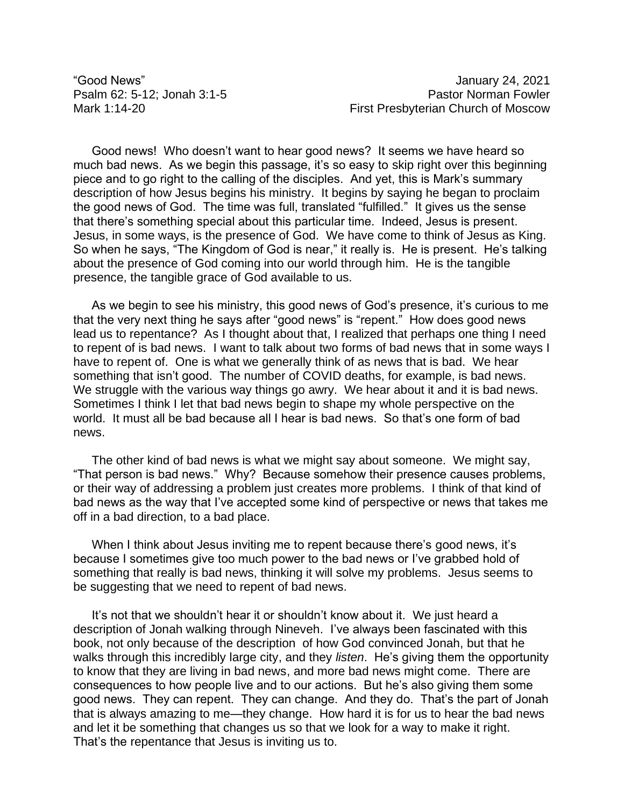"Good News" January 24, 2021 Psalm 62: 5-12; Jonah 3:1-5 Psalm 62: 5-12; Jonah 3:1-5 Mark 1:14-20 First Presbyterian Church of Moscow

Good news! Who doesn't want to hear good news? It seems we have heard so much bad news. As we begin this passage, it's so easy to skip right over this beginning piece and to go right to the calling of the disciples. And yet, this is Mark's summary description of how Jesus begins his ministry. It begins by saying he began to proclaim the good news of God. The time was full, translated "fulfilled." It gives us the sense that there's something special about this particular time. Indeed, Jesus is present. Jesus, in some ways, is the presence of God. We have come to think of Jesus as King. So when he says, "The Kingdom of God is near," it really is. He is present. He's talking about the presence of God coming into our world through him. He is the tangible presence, the tangible grace of God available to us.

As we begin to see his ministry, this good news of God's presence, it's curious to me that the very next thing he says after "good news" is "repent." How does good news lead us to repentance? As I thought about that, I realized that perhaps one thing I need to repent of is bad news. I want to talk about two forms of bad news that in some ways I have to repent of. One is what we generally think of as news that is bad. We hear something that isn't good. The number of COVID deaths, for example, is bad news. We struggle with the various way things go awry. We hear about it and it is bad news. Sometimes I think I let that bad news begin to shape my whole perspective on the world. It must all be bad because all I hear is bad news. So that's one form of bad news.

The other kind of bad news is what we might say about someone. We might say, "That person is bad news." Why? Because somehow their presence causes problems, or their way of addressing a problem just creates more problems. I think of that kind of bad news as the way that I've accepted some kind of perspective or news that takes me off in a bad direction, to a bad place.

When I think about Jesus inviting me to repent because there's good news, it's because I sometimes give too much power to the bad news or I've grabbed hold of something that really is bad news, thinking it will solve my problems. Jesus seems to be suggesting that we need to repent of bad news.

It's not that we shouldn't hear it or shouldn't know about it. We just heard a description of Jonah walking through Nineveh. I've always been fascinated with this book, not only because of the description of how God convinced Jonah, but that he walks through this incredibly large city, and they *listen*. He's giving them the opportunity to know that they are living in bad news, and more bad news might come. There are consequences to how people live and to our actions. But he's also giving them some good news. They can repent. They can change. And they do. That's the part of Jonah that is always amazing to me—they change. How hard it is for us to hear the bad news and let it be something that changes us so that we look for a way to make it right. That's the repentance that Jesus is inviting us to.